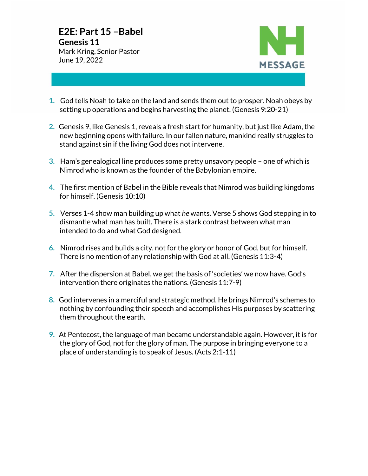**22**



- **1.** God tells Noah to take on the land and sends them out to prosper. Noah obeys by setting up operations and begins harvesting the planet. (Genesis 9:20-21)
- **2.** Genesis 9, like Genesis 1, reveals a fresh start for humanity, but just like Adam, the new beginning opens with failure. In our fallen nature, mankind really struggles to stand against sin if the living God does not intervene.
- **3.** Ham's genealogical line produces some pretty unsavory people one of which is Nimrod who is known as the founder of the Babylonian empire.
- **4.** The first mention of Babel in the Bible reveals that Nimrod was building kingdoms for himself. (Genesis 10:10)
- **5.** Verses 1-4 show man building up what *he* wants. Verse 5 shows God stepping in to dismantle what man has built. There is a stark contrast between what man intended to do and what God designed.
- **6.** Nimrod rises and builds a city, not for the glory or honor of God, but for himself. There is no mention of any relationship with God at all. (Genesis 11:3-4)
- **7.** After the dispersion at Babel, we get the basis of 'societies' we now have. God's intervention there originates the nations. (Genesis 11:7-9)
- **8.** God intervenes in a merciful and strategic method. He brings Nimrod's schemes to nothing by confounding their speech and accomplishes His purposes by scattering them throughout the earth.
- **9.** At Pentecost, the language of man became understandable again. However, it is for the glory of God, not for the glory of man. The purpose in bringing everyone to a place of understanding is to speak of Jesus. (Acts 2:1-11)